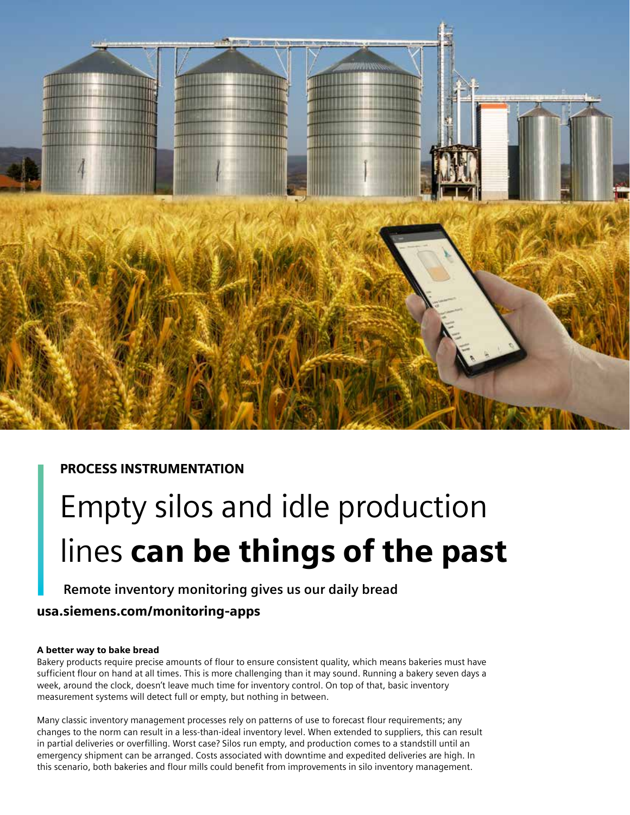

## PROCESS INSTRUMENTATION

# Empty silos and idle production lines can be things of the past

## **Remote inventory monitoring gives us our daily bread**

## usa.siemens.com/monitoring-apps

### A better way to bake bread

Bakery products require precise amounts of flour to ensure consistent quality, which means bakeries must have sufficient flour on hand at all times. This is more challenging than it may sound. Running a bakery seven days a week, around the clock, doesn't leave much time for inventory control. On top of that, basic inventory measurement systems will detect full or empty, but nothing in between.

Many classic inventory management processes rely on patterns of use to forecast flour requirements; any changes to the norm can result in a less-than-ideal inventory level. When extended to suppliers, this can result in partial deliveries or overfilling. Worst case? Silos run empty, and production comes to a standstill until an emergency shipment can be arranged. Costs associated with downtime and expedited deliveries are high. In this scenario, both bakeries and flour mills could benefit from improvements in silo inventory management.